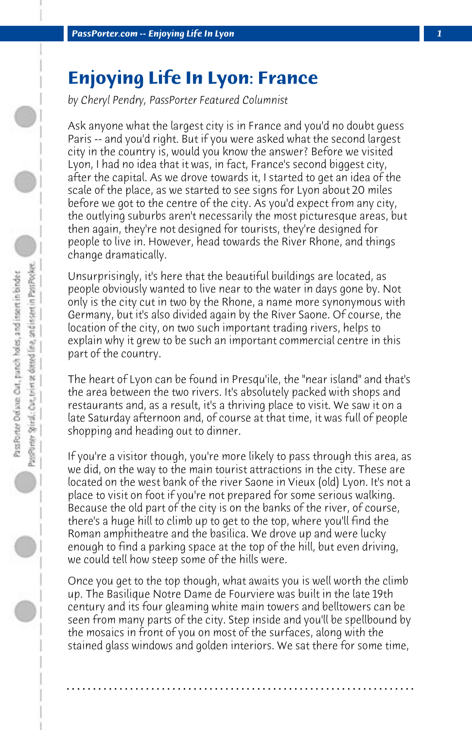## **Enjoying Life In Lyon: France**

*by Cheryl Pendry, PassPorter Featured Columnist*

Ask anyone what the largest city is in France and you'd no doubt guess Paris -- and you'd right. But if you were asked what the second largest city in the country is, would you know the answer? Before we visited Lyon, I had no idea that it was, in fact, France's second biggest city, after the capital. As we drove towards it, I started to get an idea of the scale of the place, as we started to see signs for Lyon about 20 miles before we got to the centre of the city. As you'd expect from any city, the outlying suburbs aren't necessarily the most picturesque areas, but then again, they're not designed for tourists, they're designed for people to live in. However, head towards the River Rhone, and things change dramatically.

Unsurprisingly, it's here that the beautiful buildings are located, as people obviously wanted to live near to the water in days gone by. Not only is the city cut in two by the Rhone, a name more synonymous with Germany, but it's also divided again by the River Saone. Of course, the location of the city, on two such important trading rivers, helps to explain why it grew to be such an important commercial centre in this part of the country.

The heart of Lyon can be found in Presqu'ile, the "near island" and that's the area between the two rivers. It's absolutely packed with shops and restaurants and, as a result, it's a thriving place to visit. We saw it on a late Saturday afternoon and, of course at that time, it was full of people shopping and heading out to dinner.

If you're a visitor though, you're more likely to pass through this area, as we did, on the way to the main tourist attractions in the city. These are located on the west bank of the river Saone in Vieux (old) Lyon. It's not a place to visit on foot if you're not prepared for some serious walking. Because the old part of the city is on the banks of the river, of course, there's a huge hill to climb up to get to the top, where you'll find the Roman amphitheatre and the basilica. We drove up and were lucky enough to find a parking space at the top of the hill, but even driving, we could tell how steep some of the hills were.

Once you get to the top though, what awaits you is well worth the climb up. The Basilique Notre Dame de Fourviere was built in the late 19th century and its four gleaming white main towers and belltowers can be seen from many parts of the city. Step inside and you'll be spellbound by the mosaics in front of you on most of the surfaces, along with the stained glass windows and golden interiors. We sat there for some time,

**. . . . . . . . . . . . . . . . . . . . . . . . . . . . . . . . . . . . . . . . . . . . . . . . . . . . . . . . . . . . . . . . . .**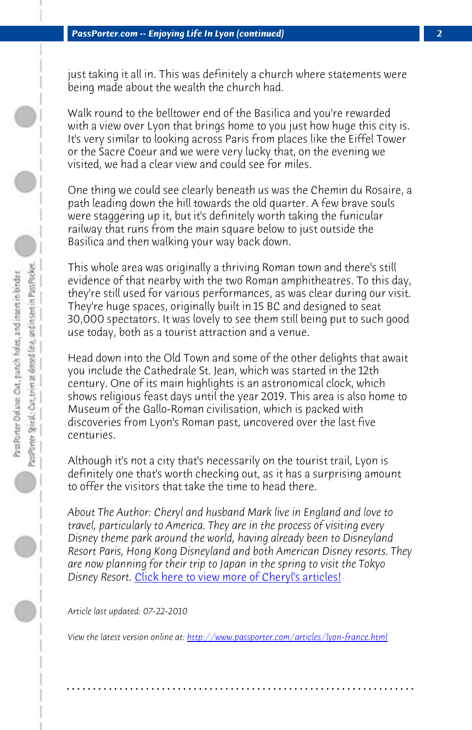just taking it all in. This was definitely a church where statements were being made about the wealth the church had.

Walk round to the belltower end of the Basilica and you're rewarded with a view over Lyon that brings home to you just how huge this city is. It's very similar to looking across Paris from places like the Eiffel Tower or the Sacre Coeur and we were very lucky that, on the evening we visited, we had a clear view and could see for miles.

One thing we could see clearly beneath us was the Chemin du Rosaire, a path leading down the hill towards the old quarter. A few brave souls were staggering up it, but it's definitely worth taking the funicular railway that runs from the main square below to just outside the Basilica and then walking your way back down.

This whole area was originally a thriving Roman town and there's still evidence of that nearby with the two Roman amphitheatres. To this day, they're still used for various performances, as was clear during our visit. They're huge spaces, originally built in 15 BC and designed to seat 30,000 spectators. It was lovely to see them still being put to such good use today, both as a tourist attraction and a venue.

Head down in[to the Old Town and some of the other delig](http://www.passporter.com/articles/cheryl-pendry-featured-columnist.asp)hts that await you include the Cathedrale St. Jean, which was started in the 12th century. One of its main highlights is an astronomical clock, which shows religious feast days until the year 2019. This area is also home to Museum of the Gallo-Roman civilisation, which is packed with discoveries from Lyon's [Roman past, uncovered over the last five](http://www.passporter.com/articles/lyon-france.php) centuries.

Although it's not a city that's necessarily on the tourist trail, Lyon is definitely one that's worth checking out, as it has a surprising amount to offer the visitors that take the time to head there.

*About The Author: Cheryl and husband Mark live in England and love to travel, particularly to America. They are in the process of visiting every Disney theme park around the world, having already been to Disneyland Resort Paris, Hong Kong Disneyland and both American Disney resorts. They are now planning for their trip to Japan in the spring to visit the Tokyo Disney Resort.* Click here to view more of Cheryl's articles!

*Article last updated: 07-22-2010*

*View the latest version online at: http://www.passporter.com/articles/lyon-france.html*

**. . . . . . . . . . . . . . . . . . . . . . . . . . . . . . . . . . . . . . . . . . . . . . . . . . . . . . . . . . . . . . . . . .**

D